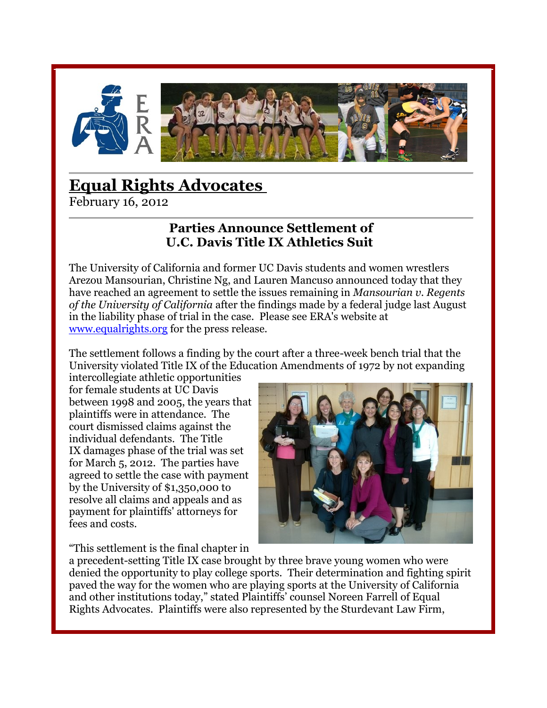

# **[Equal Rights Advocates](http://equalrights.org/)**

February 16, 2012

## **Parties Announce Settlement of U.C. Davis Title IX Athletics Suit**

The University of California and former UC Davis students and women wrestlers Arezou Mansourian, Christine Ng, and Lauren Mancuso announced today that they have reached an agreement to settle the issues remaining in *Mansourian v. Regents of the University of California* after the findings made by a federal judge last August in the liability phase of trial in the case. Please see ERA's website at [www.equalrights.org](http://www.equalrights.org/) for the press release.

The settlement follows a finding by the court after a three-week bench trial that the University violated Title IX of the Education Amendments of 1972 by not expanding

intercollegiate athletic opportunities for female students at UC Davis between 1998 and 2005, the years that plaintiffs were in attendance. The court dismissed claims against the individual defendants. The Title IX damages phase of the trial was set for March 5, 2012. The parties have agreed to settle the case with payment by the University of \$1,350,000 to resolve all claims and appeals and as payment for plaintiffs' attorneys for fees and costs.



"This settlement is the final chapter in

a precedent-setting Title IX case brought by three brave young women who were denied the opportunity to play college sports. Their determination and fighting spirit paved the way for the women who are playing sports at the University of California and other institutions today," stated Plaintiffs' counsel Noreen Farrell of Equal Rights Advocates. Plaintiffs were also represented by the Sturdevant Law Firm,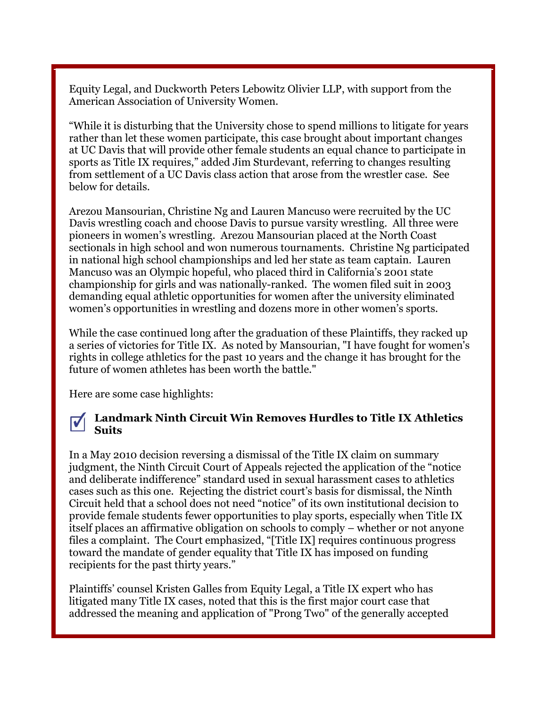Equity Legal, and Duckworth Peters Lebowitz Olivier LLP, with support from the American Association of University Women.

"While it is disturbing that the University chose to spend millions to litigate for years rather than let these women participate, this case brought about important changes at UC Davis that will provide other female students an equal chance to participate in sports as Title IX requires," added Jim Sturdevant, referring to changes resulting from settlement of a UC Davis class action that arose from the wrestler case. See below for details.

Arezou Mansourian, Christine Ng and Lauren Mancuso were recruited by the UC Davis wrestling coach and choose Davis to pursue varsity wrestling. All three were pioneers in women's wrestling. Arezou Mansourian placed at the North Coast sectionals in high school and won numerous tournaments. Christine Ng participated in national high school championships and led her state as team captain. Lauren Mancuso was an Olympic hopeful, who placed third in California's 2001 state championship for girls and was nationally-ranked. The women filed suit in 2003 demanding equal athletic opportunities for women after the university eliminated women's opportunities in wrestling and dozens more in other women's sports.

While the case continued long after the graduation of these Plaintiffs, they racked up a series of victories for Title IX. As noted by Mansourian, "I have fought for women's rights in college athletics for the past 10 years and the change it has brought for the future of women athletes has been worth the battle."

Here are some case highlights:

#### **Landmark Ninth Circuit Win Removes Hurdles to Title IX Athletics**   $\overline{\mathbf{v}}$ **Suits**

In a May 2010 decision reversing a dismissal of the Title IX claim on summary judgment, the Ninth Circuit Court of Appeals rejected the application of the "notice and deliberate indifference" standard used in sexual harassment cases to athletics cases such as this one. Rejecting the district court's basis for dismissal, the Ninth Circuit held that a school does not need "notice" of its own institutional decision to provide female students fewer opportunities to play sports, especially when Title IX itself places an affirmative obligation on schools to comply – whether or not anyone files a complaint. The Court emphasized, "[Title IX] requires continuous progress toward the mandate of gender equality that Title IX has imposed on funding recipients for the past thirty years."

Plaintiffs' counsel Kristen Galles from Equity Legal, a Title IX expert who has litigated many Title IX cases, noted that this is the first major court case that addressed the meaning and application of "Prong Two" of the generally accepted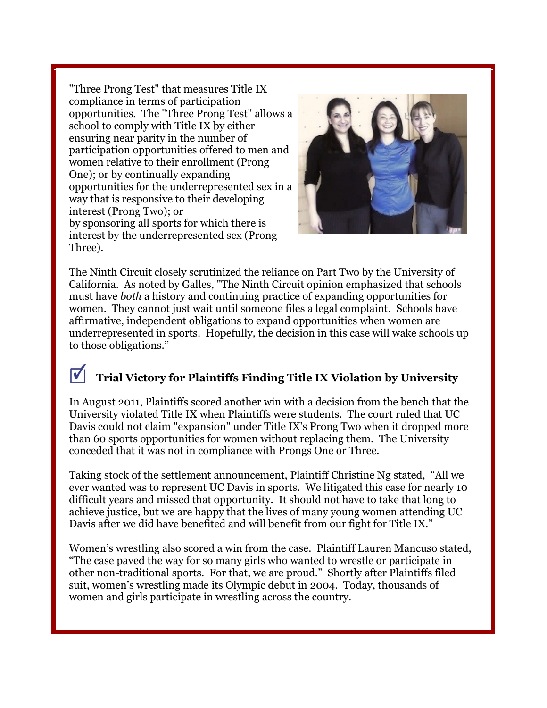"Three Prong Test" that measures Title IX compliance in terms of participation opportunities. The "Three Prong Test" allows a school to comply with Title IX by either ensuring near parity in the number of participation opportunities offered to men and women relative to their enrollment (Prong One); or by continually expanding opportunities for the underrepresented sex in a way that is responsive to their developing interest (Prong Two); or by sponsoring all sports for which there is interest by the underrepresented sex (Prong Three).



The Ninth Circuit closely scrutinized the reliance on Part Two by the University of California. As noted by Galles, "The Ninth Circuit opinion emphasized that schools must have *both* a history and continuing practice of expanding opportunities for women. They cannot just wait until someone files a legal complaint. Schools have affirmative, independent obligations to expand opportunities when women are underrepresented in sports. Hopefully, the decision in this case will wake schools up to those obligations."

#### $|\bm{v}|$ **Trial Victory for Plaintiffs Finding Title IX Violation by University**

In August 2011, Plaintiffs scored another win with a decision from the bench that the University violated Title IX when Plaintiffs were students. The court ruled that UC Davis could not claim "expansion" under Title IX's Prong Two when it dropped more than 60 sports opportunities for women without replacing them. The University conceded that it was not in compliance with Prongs One or Three.

Taking stock of the settlement announcement, Plaintiff Christine Ng stated, "All we ever wanted was to represent UC Davis in sports. We litigated this case for nearly 10 difficult years and missed that opportunity. It should not have to take that long to achieve justice, but we are happy that the lives of many young women attending UC Davis after we did have benefited and will benefit from our fight for Title IX."

Women's wrestling also scored a win from the case. Plaintiff Lauren Mancuso stated, "The case paved the way for so many girls who wanted to wrestle or participate in other non-traditional sports. For that, we are proud." Shortly after Plaintiffs filed suit, women's wrestling made its Olympic debut in 2004. Today, thousands of women and girls participate in wrestling across the country.